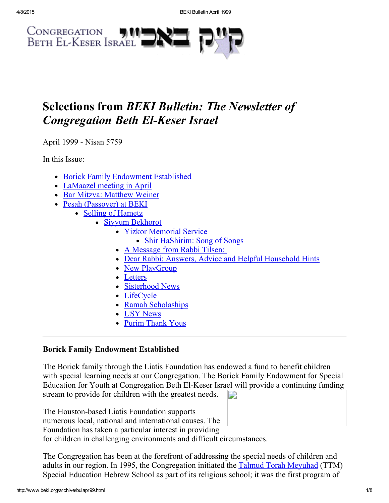

# Selections from BEKI Bulletin: The Newsletter of **Congregation Beth El-Keser Israel**

April 1999 - Nisan 5759

In this Issue:

- Borick Family [Endowment](#page-0-0) Established
- [LaMaazel](#page-1-0) meeting in April
- Bar Mitzva: [Matthew](#page-1-3) Weiner
- Pesah [\(Passover\)](#page-1-2) at BEKI
	- Selling of [Hametz](#page-1-1)
		- Siyyum [Bekhorot](#page-2-0)
			- Yizkor [Memorial](#page-2-3) Service
				- Shir [HaShirim:](#page-2-1) Song of Songs
				- A [Message](#page-2-2) from Rabbi Tilsen:
			- Dear Rabbi: Answers, Advice and Helpful [Household](#page-3-0) Hints
			- New [PlayGroup](#page-4-1)
			- [Letters](#page-4-0)
			- [Sisterhood](#page-5-1) News
			- [LifeCycle](#page-5-0)
			- Ramah [Scholaships](#page-5-2)
			- USY [News](#page-6-0)
			- Purim [Thank](#page-6-1) Yous

# <span id="page-0-0"></span>Borick Family Endowment Established

The Borick family through the Liatis Foundation has endowed a fund to benefit children with special learning needs at our Congregation. The Borick Family Endowment for Special Education for Youth at Congregation Beth El-Keser Israel will provide a continuing funding stream to provide for children with the greatest needs. D

The Houston-based Liatis Foundation supports numerous local, national and international causes. The Foundation has taken a particular interest in providing for children in challenging environments and difficult circumstances.

The Congregation has been at the forefront of addressing the special needs of children and adults in our region. In 1995, the Congregation initiated the **Talmud Torah [Meyuhad](http://www.beki.org/archive/youth.html#ttm)** (TTM) Special Education Hebrew School as part of its religious school; it was the first program of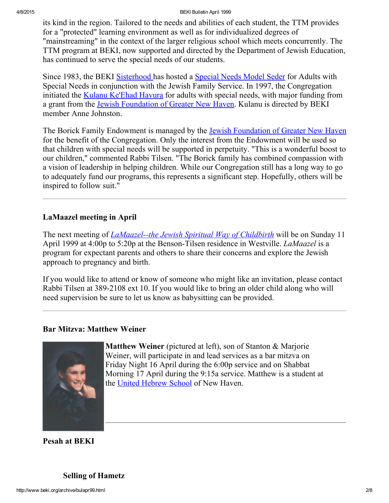4/8/2015 BEKI Bulletin April 1999

its kind in the region. Tailored to the needs and abilities of each student, the TTM provides for a "protected" learning environment as well as for individualized degrees of "mainstreaming" in the context of the larger religious school which meets concurrently. The TTM program at BEKI, now supported and directed by the Department of Jewish Education, has continued to serve the special needs of our students.

Since 1983, the BEKI [Sisterhood](http://www.beki.org/archive/sisterhood.html) has hosted a [Special](http://www.beki.org/archive/sisterhood.html#specialseder) Needs Model Seder for Adults with Special Needs in conjunction with the Jewish Family Service. In 1997, the Congregation initiated the Kulanu [Ke'Ehad](http://www.beki.org/archive/kulanu.html) Havura for adults with special needs, with major funding from a grant from the Jewish [Foundation](http://www.jewishnewhaven.org/FOUNDTN.htm) of Greater New Haven. Kulanu is directed by BEKI member Anne Johnston.

The Borick Family Endowment is managed by the Jewish [Foundation](http://www.jewishnewhaven.org/FOUNDTN.htm) of Greater New Haven for the benefit of the Congregation. Only the interest from the Endowment will be used so that children with special needs will be supported in perpetuity. "This is a wonderful boost to our children," commented Rabbi Tilsen. "The Borick family has combined compassion with a vision of leadership in helping children. While our Congregation still has a long way to go to adequately fund our programs, this represents a significant step. Hopefully, others will be inspired to follow suit."

# <span id="page-1-0"></span>LaMaazel meeting in April

The next meeting of *LaMaazel-the Jewish Spiritual Way of Childbirth* will be on Sunday 11 April 1999 at 4:00p to 5:20p at the Benson-Tilsen residence in Westville. *LaMaazel* is a program for expectant parents and others to share their concerns and explore the Jewish approach to pregnancy and birth.

If you would like to attend or know of someone who might like an invitation, please contact Rabbi Tilsen at 389-2108 ext 10. If you would like to bring an older child along who will need supervision be sure to let us know as babysitting can be provided.

## <span id="page-1-3"></span>Bar Mitzva: Matthew Weiner



Matthew Weiner (pictured at left), son of Stanton & Marjorie Weiner, will participate in and lead services as a bar mitzva on Friday Night 16 April during the 6:00p service and on Shabbat Morning 17 April during the 9:15a service. Matthew is a student at the United [Hebrew](http://www.beki.org/archive/youth.html#UHS) School of New Haven.

<span id="page-1-2"></span>Pesah at BEKI

<span id="page-1-1"></span>Selling of Hametz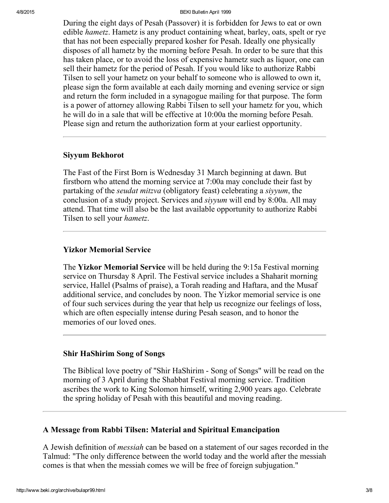#### 4/8/2015 BEKI Bulletin April 1999

During the eight days of Pesah (Passover) it is forbidden for Jews to eat or own edible *hametz*. Hametz is any product containing wheat, barley, oats, spelt or rye that has not been especially prepared kosher for Pesah. Ideally one physically disposes of all hametz by the morning before Pesah. In order to be sure that this has taken place, or to avoid the loss of expensive hametz such as liquor, one can sell their hametz for the period of Pesah. If you would like to authorize Rabbi Tilsen to sell your hametz on your behalf to someone who is allowed to own it, please sign the form available at each daily morning and evening service or sign and return the form included in a synagogue mailing for that purpose. The form is a power of attorney allowing Rabbi Tilsen to sell your hametz for you, which he will do in a sale that will be effective at 10:00a the morning before Pesah. Please sign and return the authorization form at your earliest opportunity.

#### <span id="page-2-0"></span>Siyyum Bekhorot

The Fast of the First Born is Wednesday 31 March beginning at dawn. But firstborn who attend the morning service at 7:00a may conclude their fast by partaking of the seudat mitzva (obligatory feast) celebrating a siyyum, the conclusion of a study project. Services and siyyum will end by 8:00a. All may attend. That time will also be the last available opportunity to authorize Rabbi Tilsen to sell your hametz.

## <span id="page-2-3"></span>Yizkor Memorial Service

The Yizkor Memorial Service will be held during the 9:15a Festival morning service on Thursday 8 April. The Festival service includes a Shaharit morning service, Hallel (Psalms of praise), a Torah reading and Haftara, and the Musaf additional service, and concludes by noon. The Yizkor memorial service is one of four such services during the year that help us recognize our feelings of loss, which are often especially intense during Pesah season, and to honor the memories of our loved ones.

#### <span id="page-2-1"></span>Shir HaShirim Song of Songs

The Biblical love poetry of "Shir HaShirim - Song of Songs" will be read on the morning of 3 April during the Shabbat Festival morning service. Tradition ascribes the work to King Solomon himself, writing 2,900 years ago. Celebrate the spring holiday of Pesah with this beautiful and moving reading.

#### <span id="page-2-2"></span>A Message from Rabbi Tilsen: Material and Spiritual Emancipation

A Jewish definition of messiah can be based on a statement of our sages recorded in the Talmud: "The only difference between the world today and the world after the messiah comes is that when the messiah comes we will be free of foreign subjugation."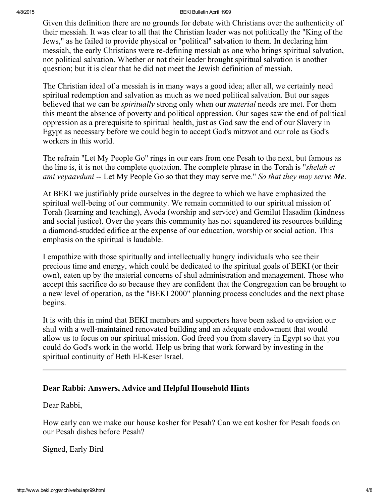#### 4/8/2015 BEKI Bulletin April 1999

Given this definition there are no grounds for debate with Christians over the authenticity of their messiah. It was clear to all that the Christian leader was not politically the "King of the Jews," as he failed to provide physical or "political" salvation to them. In declaring him messiah, the early Christians were re-defining messiah as one who brings spiritual salvation, not political salvation. Whether or not their leader brought spiritual salvation is another question; but it is clear that he did not meet the Jewish definition of messiah.

The Christian ideal of a messiah is in many ways a good idea; after all, we certainly need spiritual redemption and salvation as much as we need political salvation. But our sages believed that we can be *spiritually* strong only when our *material* needs are met. For them this meant the absence of poverty and political oppression. Our sages saw the end of political oppression as a prerequisite to spiritual health, just as God saw the end of our Slavery in Egypt as necessary before we could begin to accept God's mitzvot and our role as God's workers in this world.

The refrain "Let My People Go" rings in our ears from one Pesah to the next, but famous as the line is, it is not the complete quotation. The complete phrase in the Torah is "*shelah et* ami veyaavduni -- Let My People Go so that they may serve me." So that they may serve  $\mathbf{M}\mathbf{e}$ .

At BEKI we justifiably pride ourselves in the degree to which we have emphasized the spiritual well-being of our community. We remain committed to our spiritual mission of Torah (learning and teaching), Avoda (worship and service) and Gemilut Hasadim (kindness and social justice). Over the years this community has not squandered its resources building a diamond-studded edifice at the expense of our education, worship or social action. This emphasis on the spiritual is laudable.

I empathize with those spiritually and intellectually hungry individuals who see their precious time and energy, which could be dedicated to the spiritual goals of BEKI (or their own), eaten up by the material concerns of shul administration and management. Those who accept this sacrifice do so because they are confident that the Congregation can be brought to a new level of operation, as the "BEKI 2000" planning process concludes and the next phase begins.

It is with this in mind that BEKI members and supporters have been asked to envision our shul with a well-maintained renovated building and an adequate endowment that would allow us to focus on our spiritual mission. God freed you from slavery in Egypt so that you could do God's work in the world. Help us bring that work forward by investing in the spiritual continuity of Beth El-Keser Israel.

## <span id="page-3-0"></span>Dear Rabbi: Answers, Advice and Helpful Household Hints

Dear Rabbi,

How early can we make our house kosher for Pesah? Can we eat kosher for Pesah foods on our Pesah dishes before Pesah?

Signed, Early Bird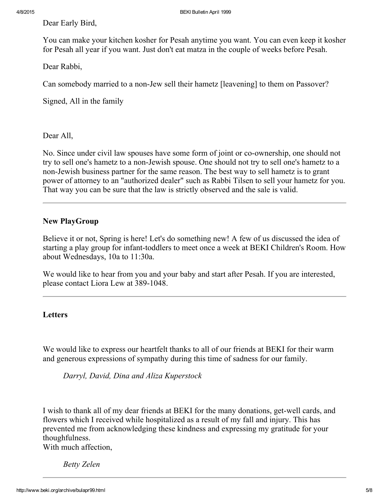Dear Early Bird,

You can make your kitchen kosher for Pesah anytime you want. You can even keep it kosher for Pesah all year if you want. Just don't eat matza in the couple of weeks before Pesah.

Dear Rabbi,

Can somebody married to a non-Jew sell their hametz [leavening] to them on Passover?

Signed, All in the family

Dear All,

No. Since under civil law spouses have some form of joint or co-ownership, one should not try to sell one's hametz to a non-Jewish spouse. One should not try to sell one's hametz to a non-Jewish business partner for the same reason. The best way to sell hametz is to grant power of attorney to an "authorized dealer" such as Rabbi Tilsen to sell your hametz for you. That way you can be sure that the law is strictly observed and the sale is valid.

# <span id="page-4-1"></span>New PlayGroup

Believe it or not, Spring is here! Let's do something new! A few of us discussed the idea of starting a play group for infant-toddlers to meet once a week at BEKI Children's Room. How about Wednesdays, 10a to 11:30a.

We would like to hear from you and your baby and start after Pesah. If you are interested, please contact Liora Lew at 389-1048.

# <span id="page-4-0"></span>Letters

We would like to express our heartfelt thanks to all of our friends at BEKI for their warm and generous expressions of sympathy during this time of sadness for our family.

Darryl, David, Dina and Aliza Kuperstock

I wish to thank all of my dear friends at BEKI for the many donations, get-well cards, and flowers which I received while hospitalized as a result of my fall and injury. This has prevented me from acknowledging these kindness and expressing my gratitude for your thoughfulness.

With much affection,

Betty Zelen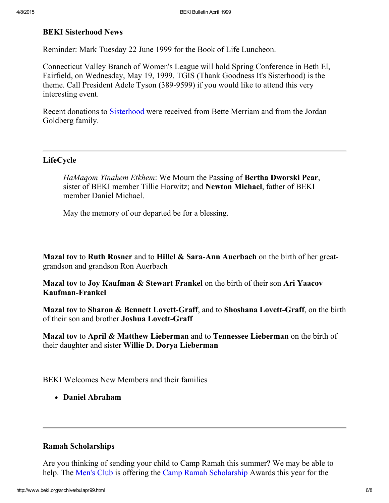#### <span id="page-5-1"></span>BEKI Sisterhood News

Reminder: Mark Tuesday 22 June 1999 for the Book of Life Luncheon.

Connecticut Valley Branch of Women's League will hold Spring Conference in Beth El, Fairfield, on Wednesday, May 19, 1999. TGIS (Thank Goodness It's Sisterhood) is the theme. Call President Adele Tyson (389-9599) if you would like to attend this very interesting event.

Recent donations to [Sisterhood](http://www.beki.org/archive/sisterhood.html) were received from Bette Merriam and from the Jordan Goldberg family.

#### <span id="page-5-0"></span>LifeCycle

HaMagom Yinahem Etkhem: We Mourn the Passing of **Bertha Dworski Pear**, sister of BEKI member Tillie Horwitz; and Newton Michael, father of BEKI member Daniel Michael.

May the memory of our departed be for a blessing.

Mazal tov to Ruth Rosner and to Hillel  $\&$  Sara-Ann Auerbach on the birth of her greatgrandson and grandson Ron Auerbach

Mazal tov to Joy Kaufman & Stewart Frankel on the birth of their son Ari Yaacov Kaufman-Frankel

Mazal tov to Sharon & Bennett Lovett-Graff, and to Shoshana Lovett-Graff, on the birth of their son and brother Joshua Lovett-Graff

Mazal tov to April & Matthew Lieberman and to Tennessee Lieberman on the birth of their daughter and sister Willie D. Dorya Lieberman

BEKI Welcomes New Members and their families

Daniel Abraham

#### <span id="page-5-2"></span>Ramah Scholarships

Are you thinking of sending your child to Camp Ramah this summer? We may be able to help. The <u>[Men's](http://www.beki.org/archive/mensclub.html) Club</u> is offering the Camp Ramah [Scholarship](http://www.beki.org/archive/mensclub.html#ramah) Awards this year for the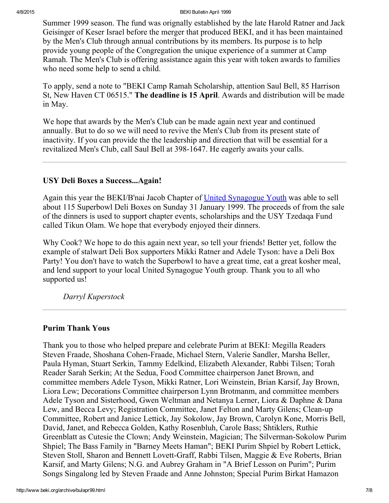Summer 1999 season. The fund was orignally established by the late Harold Ratner and Jack Geisinger of Keser Israel before the merger that produced BEKI, and it has been maintained by the Men's Club through annual contributions by its members. Its purpose is to help provide young people of the Congregation the unique experience of a summer at Camp Ramah. The Men's Club is offering assistance again this year with token awards to families who need some help to send a child.

To apply, send a note to "BEKI Camp Ramah Scholarship, attention Saul Bell, 85 Harrison St, New Haven CT 06515." The deadline is 15 April. Awards and distribution will be made in May.

We hope that awards by the Men's Club can be made again next year and continued annually. But to do so we will need to revive the Men's Club from its present state of inactivity. If you can provide the the leadership and direction that will be essential for a revitalized Men's Club, call Saul Bell at 398-1647. He eagerly awaits your calls.

## <span id="page-6-0"></span>USY Deli Boxes a Success...Again!

Again this year the BEKI/B'nai Jacob Chapter of United [Synagogue](http://www.beki.org/archive/youth.html#kadimausy) Youth was able to sell about 115 Superbowl Deli Boxes on Sunday 31 January 1999. The proceeds of from the sale of the dinners is used to support chapter events, scholarships and the USY Tzedaqa Fund called Tikun Olam. We hope that everybody enjoyed their dinners.

Why Cook? We hope to do this again next year, so tell your friends! Better yet, follow the example of stalwart Deli Box supporters Mikki Ratner and Adele Tyson: have a Deli Box Party! You don't have to watch the Superbowl to have a great time, eat a great kosher meal, and lend support to your local United Synagogue Youth group. Thank you to all who supported us!

Darryl Kuperstock

## <span id="page-6-1"></span>Purim Thank Yous

Thank you to those who helped prepare and celebrate Purim at BEKI: Megilla Readers Steven Fraade, Shoshana Cohen-Fraade, Michael Stern, Valerie Sandler, Marsha Beller, Paula Hyman, Stuart Serkin, Tammy Edelkind, Elizabeth Alexander, Rabbi Tilsen; Torah Reader Sarah Serkin; At the Sedua, Food Committee chairperson Janet Brown, and committee members Adele Tyson, Mikki Ratner, Lori Weinstein, Brian Karsif, Jay Brown, Liora Lew; Decorations Committee chairperson Lynn Brotmanm, and committee members Adele Tyson and Sisterhood, Gwen Weltman and Netanya Lerner, Liora & Daphne & Dana Lew, and Becca Levy; Registration Committee, Janet Felton and Marty Gilens; Clean-up Committee, Robert and Janice Lettick, Jay Sokolow, Jay Brown, Carolyn Kone, Morris Bell, David, Janet, and Rebecca Golden, Kathy Rosenbluh, Carole Bass; Shtiklers, Ruthie Greenblatt as Cutesie the Clown; Andy Weinstein, Magician; The Silverman-Sokolow Purim Shpiel; The Bass Family in "Barney Meets Haman"; BEKI Purim Shpiel by Robert Lettick, Steven Stoll, Sharon and Bennett Lovett-Graff, Rabbi Tilsen, Maggie & Eve Roberts, Brian Karsif, and Marty Gilens; N.G. and Aubrey Graham in "A Brief Lesson on Purim"; Purim Songs Singalong led by Steven Fraade and Anne Johnston; Special Purim Birkat Hamazon